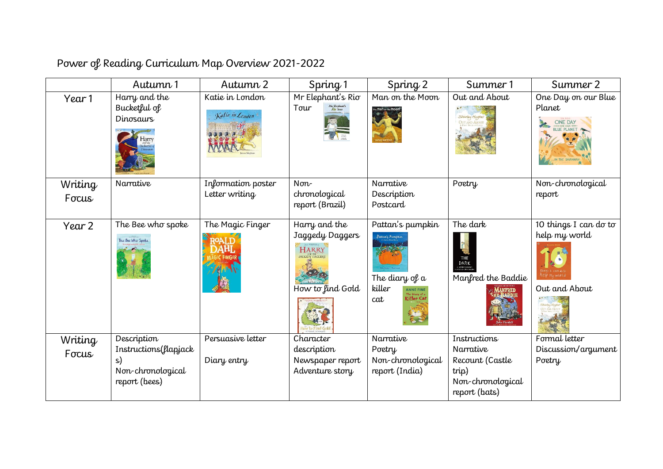| Power of Reading Curriculum Map Overview 2021-2022 |
|----------------------------------------------------|
|----------------------------------------------------|

|                  | Autumn 1                                                                         | Autumn 2                             | Spring 1                                                        | Spring 2                                                                                                             | Summer 1                                                                                    | Summer 2                                                |
|------------------|----------------------------------------------------------------------------------|--------------------------------------|-----------------------------------------------------------------|----------------------------------------------------------------------------------------------------------------------|---------------------------------------------------------------------------------------------|---------------------------------------------------------|
| Year 1           | Harry and the<br>Bucketful of<br><b>Dinosaurs</b><br>Harry                       | Katie in London<br>Katie in London   | Mr Elephant's Rio<br>Tour                                       | Man on the Moon                                                                                                      | Out and About<br>Shirley Hugher<br><b>OUT AND ABOUT</b>                                     | One Day on our Blue<br>Planet<br>ONE DAY                |
| Writing<br>Focus | Narrative                                                                        | Information poster<br>Letter writing | $Norm-$<br>chronological<br>report (Brazil)                     | Narrative<br>Description<br>Postcard                                                                                 | Poetry                                                                                      | Non-chronological<br>report                             |
| Year 2           | The Bee who spoke<br>The Bee Who Spoke                                           | The Magic Finger                     | Harry and the<br>Jaggedy Daggers<br>HARRY<br>How to find Gold   | Pattan's pumpkin<br>Pattan's Pumpkin<br>The diary of a<br>killer<br>ANNE FINE<br>The Diary of a<br>Killer Cat<br>cat | The dark<br>THE<br>DARK<br>Suimbersmoket<br>Manfred the Baddie                              | 10 things I can do to<br>help my world<br>Out and About |
| Writing<br>Focus | Description<br>Instructions(flapjack<br>s)<br>Non-chronological<br>report (bees) | Persuasive letter<br>Diary entry     | Character<br>description<br>Newspaper report<br>Adventure story | Narrative<br>Poetry<br>Non-chronological<br>report (India)                                                           | Instructions<br>Narrative<br>Recount (Castle<br>trip)<br>Non-chronological<br>report (bats) | Formal letter<br>Discussion/argument<br>Poetry          |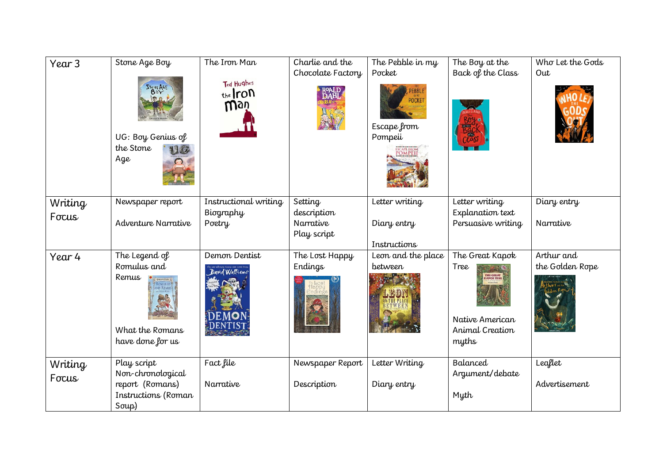| Year <sub>3</sub> | Stone Age Boy<br>STONE AGE<br>协 0.<br>UG: Boy Genius of<br>the Stone<br>Age         | The Iron Man<br>Ted Hughes<br>the ron<br>Wgù | Charlie and the<br>Chocolate Factory<br>ROALD<br>DAHL | The Pebble in my<br>Pocket<br>PEBBLE<br><b>POCKET</b><br>Escape from<br>Pompeii<br>ESCAPE FROM<br>POMPEII | The Boy at the<br>Back of the Class                                                               | Who Let the Gods<br>Out       |
|-------------------|-------------------------------------------------------------------------------------|----------------------------------------------|-------------------------------------------------------|-----------------------------------------------------------------------------------------------------------|---------------------------------------------------------------------------------------------------|-------------------------------|
| Writing<br>Focus  | Newspaper report<br>Adventure Narrative                                             | Instructional writing<br>Biography<br>Poetry | Setting<br>description<br>Narrative<br>Play script    | Letter writing<br>Diary entry<br>Instructions                                                             | Letter writing<br>Explanation text<br>Persuasive writing                                          | Diary entry<br>Narrative      |
| Year 4            | The Legend of<br>Romulus and<br>Remus<br>What the Romans<br>have done for us        | Demon Dentist<br>David Walliams              | The Lost Happy<br>Endings                             | Leon and the place<br><i>between</i>                                                                      | The Great Kapok<br>Tree<br>THE GREAT<br>KAPOK TREE<br>Native American<br>Animal Creation<br>myths | Arthur and<br>the Golden Rope |
| Writing<br>Focus  | Play script<br>Non-chronological<br>report (Romans)<br>Instructions (Roman<br>Soup) | Fact file<br>Narrative                       | Newspaper Report<br>Description                       | Letter Writing<br>Diary entry                                                                             | Balanced<br>Argument/debate<br>Myth                                                               | Leaflet<br>Advertisement      |